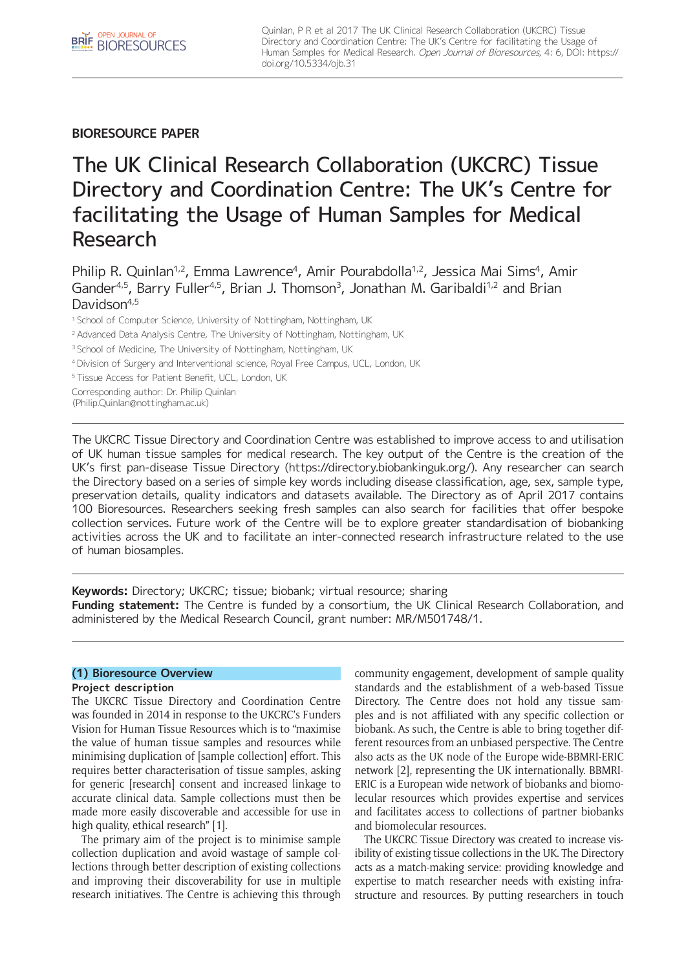## **BIORESOURCE PAPER**

# The UK Clinical Research Collaboration (UKCRC) Tissue Directory and Coordination Centre: The UK's Centre for facilitating the Usage of Human Samples for Medical Research

Philip R. Quinlan<sup>1,2</sup>, Emma Lawrence<sup>4</sup>, Amir Pourabdolla<sup>1,2</sup>, Jessica Mai Sims<sup>4</sup>, Amir Gander<sup>4,5</sup>, Barry Fuller<sup>4,5</sup>, Brian J. Thomson<sup>3</sup>, Jonathan M. Garibaldi<sup>1,2</sup> and Brian Davidson<sup>4,5</sup>

<sup>1</sup> School of Computer Science, University of Nottingham, Nottingham, UK

<sup>2</sup> Advanced Data Analysis Centre, The University of Nottingham, Nottingham, UK

<sup>3</sup> School of Medicine, The University of Nottingham, Nottingham, UK

4 Division of Surgery and Interventional science, Royal Free Campus, UCL, London, UK

<sup>5</sup>Tissue Access for Patient Benefit, UCL, London, UK

Corresponding author: Dr. Philip Quinlan

([Philip.Quinlan@nottingham.ac.uk](mailto:Philip.Quinlan@nottingham.ac.uk))

The UKCRC Tissue Directory and Coordination Centre was established to improve access to and utilisation of UK human tissue samples for medical research. The key output of the Centre is the creation of the UK's first pan-disease Tissue Directory ([https://directory.biobankinguk.org/\)](https://directory.biobankinguk.org/). Any researcher can search the Directory based on a series of simple key words including disease classification, age, sex, sample type, preservation details, quality indicators and datasets available. The Directory as of April 2017 contains 100 Bioresources. Researchers seeking fresh samples can also search for facilities that offer bespoke collection services. Future work of the Centre will be to explore greater standardisation of biobanking activities across the UK and to facilitate an inter-connected research infrastructure related to the use of human biosamples.

**Keywords:** Directory; UKCRC; tissue; biobank; virtual resource; sharing **Funding statement:** The Centre is funded by a consortium, the UK Clinical Research Collaboration, and administered by the Medical Research Council, grant number: MR/M501748/1.

## **(1) Bioresource Overview**

## **Project description**

The UKCRC Tissue Directory and Coordination Centre was founded in 2014 in response to the UKCRC's Funders Vision for Human Tissue Resources which is to "maximise the value of human tissue samples and resources while minimising duplication of [sample collection] effort. This requires better characterisation of tissue samples, asking for generic [research] consent and increased linkage to accurate clinical data. Sample collections must then be made more easily discoverable and accessible for use in high quality, ethical research" [1].

The primary aim of the project is to minimise sample collection duplication and avoid wastage of sample collections through better description of existing collections and improving their discoverability for use in multiple research initiatives. The Centre is achieving this through community engagement, development of sample quality standards and the establishment of a web-based Tissue Directory. The Centre does not hold any tissue samples and is not affiliated with any specific collection or biobank. As such, the Centre is able to bring together different resources from an unbiased perspective. The Centre also acts as the UK node of the Europe wide-BBMRI-ERIC network [2], representing the UK internationally. BBMRI-ERIC is a European wide network of biobanks and biomolecular resources which provides expertise and services and facilitates access to collections of partner biobanks and biomolecular resources.

The UKCRC Tissue Directory was created to increase visibility of existing tissue collections in the UK. The Directory acts as a match-making service: providing knowledge and expertise to match researcher needs with existing infrastructure and resources. By putting researchers in touch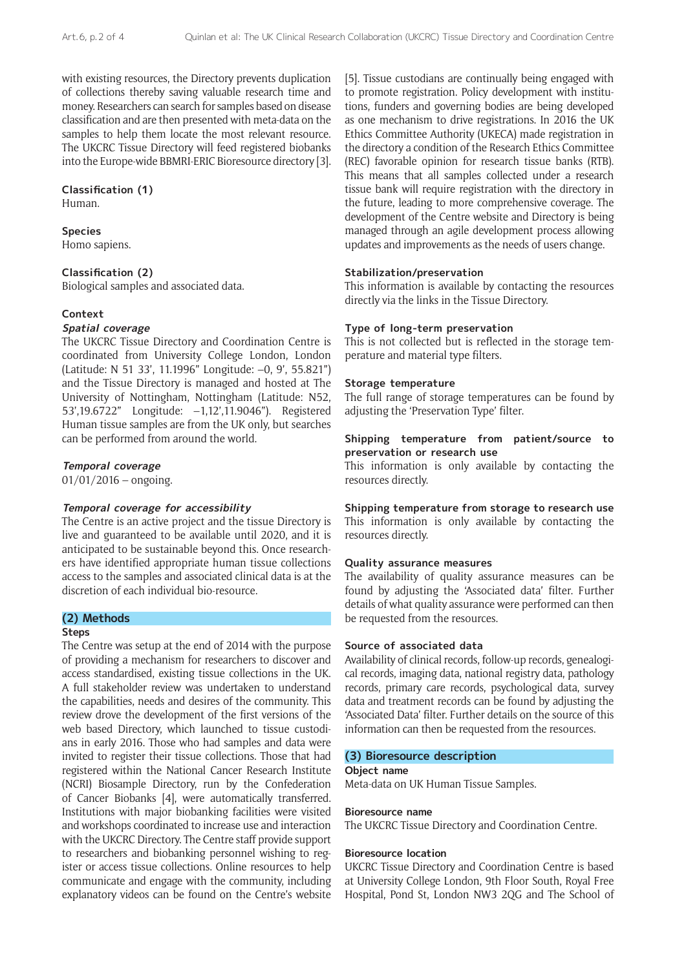with existing resources, the Directory prevents duplication of collections thereby saving valuable research time and money. Researchers can search for samples based on disease classification and are then presented with meta-data on the samples to help them locate the most relevant resource. The UKCRC Tissue Directory will feed registered biobanks into the Europe-wide BBMRI-ERIC Bioresource directory [3].

#### **Classification (1)**

Human.

#### **Species**

Homo sapiens.

## **Classification (2)**

Biological samples and associated data.

## **Context**

#### **Spatial coverage**

The UKCRC Tissue Directory and Coordination Centre is coordinated from University College London, London (Latitude: N 51 33', 11.1996" Longitude: –0, 9', 55.821") and the Tissue Directory is managed and hosted at The University of Nottingham, Nottingham (Latitude: N52, 53',19.6722" Longitude: –1,12',11.9046"). Registered Human tissue samples are from the UK only, but searches can be performed from around the world.

#### **Temporal coverage**

 $01/01/2016 -$  ongoing.

#### **Temporal coverage for accessibility**

The Centre is an active project and the tissue Directory is live and guaranteed to be available until 2020, and it is anticipated to be sustainable beyond this. Once researchers have identified appropriate human tissue collections access to the samples and associated clinical data is at the discretion of each individual bio-resource.

## **(2) Methods**

#### **Steps**

The Centre was setup at the end of 2014 with the purpose of providing a mechanism for researchers to discover and access standardised, existing tissue collections in the UK. A full stakeholder review was undertaken to understand the capabilities, needs and desires of the community. This review drove the development of the first versions of the web based Directory, which launched to tissue custodians in early 2016. Those who had samples and data were invited to register their tissue collections. Those that had registered within the National Cancer Research Institute (NCRI) Biosample Directory, run by the Confederation of Cancer Biobanks [4], were automatically transferred. Institutions with major biobanking facilities were visited and workshops coordinated to increase use and interaction with the UKCRC Directory. The Centre staff provide support to researchers and biobanking personnel wishing to register or access tissue collections. Online resources to help communicate and engage with the community, including explanatory videos can be found on the Centre's website

[5]. Tissue custodians are continually being engaged with to promote registration. Policy development with institutions, funders and governing bodies are being developed as one mechanism to drive registrations. In 2016 the UK Ethics Committee Authority (UKECA) made registration in the directory a condition of the Research Ethics Committee (REC) favorable opinion for research tissue banks (RTB). This means that all samples collected under a research tissue bank will require registration with the directory in the future, leading to more comprehensive coverage. The development of the Centre website and Directory is being managed through an agile development process allowing updates and improvements as the needs of users change.

## **Stabilization/preservation**

This information is available by contacting the resources directly via the links in the Tissue Directory.

#### **Type of long-term preservation**

This is not collected but is reflected in the storage temperature and material type filters.

#### **Storage temperature**

The full range of storage temperatures can be found by adjusting the 'Preservation Type' filter.

## **Shipping temperature from patient/source to preservation or research use**

This information is only available by contacting the resources directly.

**Shipping temperature from storage to research use** This information is only available by contacting the resources directly.

## **Quality assurance measures**

The availability of quality assurance measures can be found by adjusting the 'Associated data' filter. Further details of what quality assurance were performed can then be requested from the resources.

#### **Source of associated data**

Availability of clinical records, follow-up records, genealogical records, imaging data, national registry data, pathology records, primary care records, psychological data, survey data and treatment records can be found by adjusting the 'Associated Data' filter. Further details on the source of this information can then be requested from the resources.

## **(3) Bioresource description**

**Object name**

Meta-data on UK Human Tissue Samples.

#### **Bioresource name**

The UKCRC Tissue Directory and Coordination Centre.

#### **Bioresource location**

UKCRC Tissue Directory and Coordination Centre is based at University College London, 9th Floor South, Royal Free Hospital, Pond St, London NW3 2QG and The School of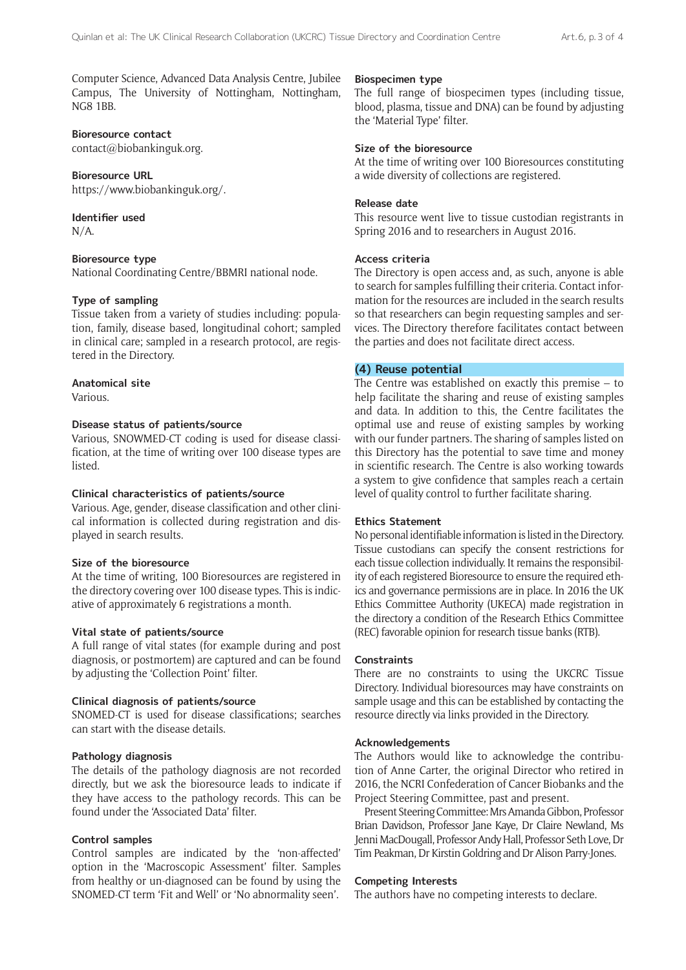Computer Science, Advanced Data Analysis Centre, Jubilee Campus, The University of Nottingham, Nottingham, NG8 1BB.

## **Bioresource contact**

[contact@biobankinguk.org.](mailto:contact@biobankinguk.org)

#### **Bioresource URL**

[https://www.biobankinguk.org/.](https://www.biobankinguk.org/
)

#### **Identifier used**

N/A.

## **Bioresource type**

National Coordinating Centre/BBMRI national node.

## **Type of sampling**

Tissue taken from a variety of studies including: population, family, disease based, longitudinal cohort; sampled in clinical care; sampled in a research protocol, are registered in the Directory.

## **Anatomical site**

Various.

## **Disease status of patients/source**

Various, SNOWMED-CT coding is used for disease classification, at the time of writing over 100 disease types are listed.

#### **Clinical characteristics of patients/source**

Various. Age, gender, disease classification and other clinical information is collected during registration and displayed in search results.

## **Size of the bioresource**

At the time of writing, 100 Bioresources are registered in the directory covering over 100 disease types. This is indicative of approximately 6 registrations a month.

#### **Vital state of patients/source**

A full range of vital states (for example during and post diagnosis, or postmortem) are captured and can be found by adjusting the 'Collection Point' filter.

## **Clinical diagnosis of patients/source**

SNOMED-CT is used for disease classifications; searches can start with the disease details.

#### **Pathology diagnosis**

The details of the pathology diagnosis are not recorded directly, but we ask the bioresource leads to indicate if they have access to the pathology records. This can be found under the 'Associated Data' filter.

## **Control samples**

Control samples are indicated by the 'non-affected' option in the 'Macroscopic Assessment' filter. Samples from healthy or un-diagnosed can be found by using the SNOMED-CT term 'Fit and Well' or 'No abnormality seen'.

#### **Biospecimen type**

The full range of biospecimen types (including tissue, blood, plasma, tissue and DNA) can be found by adjusting the 'Material Type' filter.

## **Size of the bioresource**

At the time of writing over 100 Bioresources constituting a wide diversity of collections are registered.

#### **Release date**

This resource went live to tissue custodian registrants in Spring 2016 and to researchers in August 2016.

#### **Access criteria**

The Directory is open access and, as such, anyone is able to search for samples fulfilling their criteria. Contact information for the resources are included in the search results so that researchers can begin requesting samples and services. The Directory therefore facilitates contact between the parties and does not facilitate direct access.

## **(4) Reuse potential**

The Centre was established on exactly this premise – to help facilitate the sharing and reuse of existing samples and data. In addition to this, the Centre facilitates the optimal use and reuse of existing samples by working with our funder partners. The sharing of samples listed on this Directory has the potential to save time and money in scientific research. The Centre is also working towards a system to give confidence that samples reach a certain level of quality control to further facilitate sharing.

## **Ethics Statement**

No personal identifiable information is listed in the Directory. Tissue custodians can specify the consent restrictions for each tissue collection individually. It remains the responsibility of each registered Bioresource to ensure the required ethics and governance permissions are in place. In 2016 the UK Ethics Committee Authority (UKECA) made registration in the directory a condition of the Research Ethics Committee (REC) favorable opinion for research tissue banks (RTB).

#### **Constraints**

There are no constraints to using the UKCRC Tissue Directory. Individual bioresources may have constraints on sample usage and this can be established by contacting the resource directly via links provided in the Directory.

#### **Acknowledgements**

The Authors would like to acknowledge the contribution of Anne Carter, the original Director who retired in 2016, the NCRI Confederation of Cancer Biobanks and the Project Steering Committee, past and present.

Present Steering Committee: Mrs Amanda Gibbon, Professor Brian Davidson, Professor Jane Kaye, Dr Claire Newland, Ms Jenni MacDougall, Professor Andy Hall, Professor Seth Love, Dr Tim Peakman, Dr Kirstin Goldring and Dr Alison Parry-Jones.

#### **Competing Interests**

The authors have no competing interests to declare.